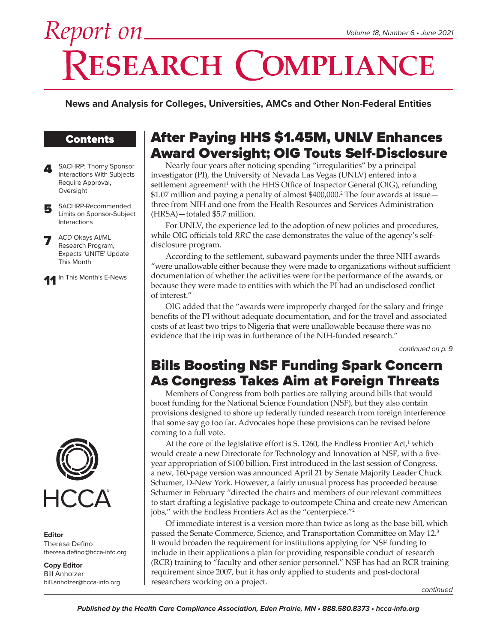# Report on\_ **RESEARCH COMPLIANCE**

**News and Analysis for Colleges, Universities, AMCs and Other Non-Federal Entities**

# **Contents**

- 4 SACHRP: Thorny Sponsor<br>Interactions With Subjects Require Approval, Oversight
- 5 SACHRP-Recommended<br>
Limits on Sponsor-Subject Interactions
- ACD Okays AI/ML Research Program, Expects 'UNITE' Update This Month

11 In This Month's E-News



**Editor** Theresa Defino theresa.defino@hcca-info.org

**Copy Editor** Bill Anholzer bill.anholzer@hcca-info.org

# After Paying HHS \$1.45M, UNLV Enhances Award Oversight; OIG Touts Self-Disclosure

Nearly four years after noticing spending "irregularities" by a principal investigator (PI), the University of Nevada Las Vegas (UNLV) entered into a settlement agreement<sup>1</sup> with the HHS Office of Inspector General (OIG), refunding \$1.07 million and paying a penalty of almost \$400,000.<sup>2</sup> The four awards at issue three from NIH and one from the Health Resources and Services Administration (HRSA)—totaled \$5.7 million.

For UNLV, the experience led to the adoption of new policies and procedures, while OIG officials told *RRC* the case demonstrates the value of the agency's selfdisclosure program.

According to the settlement, subaward payments under the three NIH awards "were unallowable either because they were made to organizations without sufficient documentation of whether the activities were for the performance of the awards, or because they were made to entities with which the PI had an undisclosed conflict of interest."

OIG added that the "awards were improperly charged for the salary and fringe benefits of the PI without adequate documentation, and for the travel and associated costs of at least two trips to Nigeria that were unallowable because there was no evidence that the trip was in furtherance of the NIH-funded research."

*continued on p. 9*

# Bills Boosting NSF Funding Spark Concern As Congress Takes Aim at Foreign Threats

Members of Congress from both parties are rallying around bills that would boost funding for the National Science Foundation (NSF), but they also contain provisions designed to shore up federally funded research from foreign interference that some say go too far. Advocates hope these provisions can be revised before coming to a full vote.

At the core of the legislative effort is S. 1260, the Endless Frontier Act,<sup>1</sup> which would create a new Directorate for Technology and Innovation at NSF, with a fiveyear appropriation of \$100 billion. First introduced in the last session of Congress, a new, 160-page version was announced April 21 by Senate Majority Leader Chuck Schumer, D-New York. However, a fairly unusual process has proceeded because Schumer in February "directed the chairs and members of our relevant committees to start drafting a legislative package to outcompete China and create new American jobs," with the Endless Frontiers Act as the "centerpiece."<sup>2</sup>

Of immediate interest is a version more than twice as long as the base bill, which passed the Senate Commerce, Science, and Transportation Committee on May 12.<sup>3</sup> It would broaden the requirement for institutions applying for NSF funding to include in their applications a plan for providing responsible conduct of research (RCR) training to "faculty and other senior personnel." NSF has had an RCR training requirement since 2007, but it has only applied to students and post-doctoral researchers working on a project.

*continued*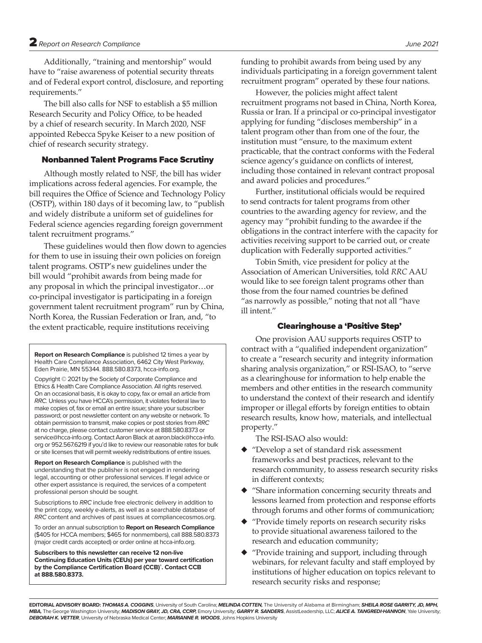Additionally, "training and mentorship" would have to "raise awareness of potential security threats and of Federal export control, disclosure, and reporting requirements."

The bill also calls for NSF to establish a \$5 million Research Security and Policy Office, to be headed by a chief of research security. In March 2020, NSF appointed Rebecca Spyke Keiser to a new position of chief of research security strategy.

#### Nonbanned Talent Programs Face Scrutiny

Although mostly related to NSF, the bill has wider implications across federal agencies. For example, the bill requires the Office of Science and Technology Policy (OSTP), within 180 days of it becoming law, to "publish and widely distribute a uniform set of guidelines for Federal science agencies regarding foreign government talent recruitment programs."

These guidelines would then flow down to agencies for them to use in issuing their own policies on foreign talent programs. OSTP's new guidelines under the bill would "prohibit awards from being made for any proposal in which the principal investigator…or co-principal investigator is participating in a foreign government talent recruitment program" run by China, North Korea, the Russian Federation or Iran, and, "to the extent practicable, require institutions receiving

**Report on Research Compliance** is published 12 times a year by Health Care Compliance Association, 6462 City West Parkway, Eden Prairie, MN 55344. 888.580.8373, hcca-info.org.

Copyright © 2021 by the Society of Corporate Compliance and Ethics & Health Care Compliance Association. All rights reserved. On an occasional basis, it is okay to copy, fax or email an article from *RRC.* Unless you have HCCA's permission, it violates federal law to make copies of, fax or email an entire issue; share your subscriber password; or post newsletter content on any website or network. To obtain permission to transmit, make copies or post stories from *RRC* at no charge, please contact customer service at 888.580.8373 or service@hcca-info.org. Contact Aaron Black at aaron.black@hcca-info. org or 952.567.6219 if you'd like to review our reasonable rates for bulk or site licenses that will permit weekly redistributions of entire issues.

**Report on Research Compliance** is published with the understanding that the publisher is not engaged in rendering legal, accounting or other professional services. If legal advice or other expert assistance is required, the services of a competent professional person should be sought.

Subscriptions to *RRC* include free electronic delivery in addition to the print copy, weekly e-alerts, as well as a searchable database of *RRC* content and archives of past issues at compliancecosmos.org.

To order an annual subscription to **Report on Research Compliance**  (\$405 for HCCA members; \$465 for nonmembers), call 888.580.8373 (major credit cards accepted) or order online at hcca-info.org.

**Subscribers to this newsletter can receive 12 non-live Continuing Education Units (CEUs) per year toward certification by the Compliance Certification Board (CCB)® . Contact CCB at 888.580.8373.**

funding to prohibit awards from being used by any individuals participating in a foreign government talent recruitment program" operated by these four nations.

However, the policies might affect talent recruitment programs not based in China, North Korea, Russia or Iran. If a principal or co-principal investigator applying for funding "discloses membership" in a talent program other than from one of the four, the institution must "ensure, to the maximum extent practicable, that the contract conforms with the Federal science agency's guidance on conflicts of interest, including those contained in relevant contract proposal and award policies and procedures."

Further, institutional officials would be required to send contracts for talent programs from other countries to the awarding agency for review, and the agency may "prohibit funding to the awardee if the obligations in the contract interfere with the capacity for activities receiving support to be carried out, or create duplication with Federally supported activities."

Tobin Smith, vice president for policy at the Association of American Universities, told *RRC* AAU would like to see foreign talent programs other than those from the four named countries be defined "as narrowly as possible," noting that not all "have ill intent."

#### Clearinghouse a 'Positive Step'

One provision AAU supports requires OSTP to contract with a "qualified independent organization" to create a "research security and integrity information sharing analysis organization," or RSI-ISAO, to "serve as a clearinghouse for information to help enable the members and other entities in the research community to understand the context of their research and identify improper or illegal efforts by foreign entities to obtain research results, know how, materials, and intellectual property."

The RSI-ISAO also would:

- ◆ "Develop a set of standard risk assessment frameworks and best practices, relevant to the research community, to assess research security risks in different contexts;
- "Share information concerning security threats and lessons learned from protection and response efforts through forums and other forms of communication;
- "Provide timely reports on research security risks to provide situational awareness tailored to the research and education community;
- "Provide training and support, including through webinars, for relevant faculty and staff employed by institutions of higher education on topics relevant to research security risks and response;

**EDITORIAL ADVISORY BOARD:** *THOMAS A. COGGINS*, University of South Carolina; *MELINDA COTTEN,* The University of Alabama at Birmingham; *SHEILA ROSE GARRITY, JD, MPH, MBA,* The George Washington University; *MADISON GRAY, JD, CRA, CCRP,* Emory University; *GARRY R. SANDERS*, AssistLeadership, LLC; *ALICE A. TANGREDI-HANNON*, Yale University; *DEBORAH K. VETTER*, University of Nebraska Medical Center; *MARIANNE R. WOODS*, Johns Hopkins University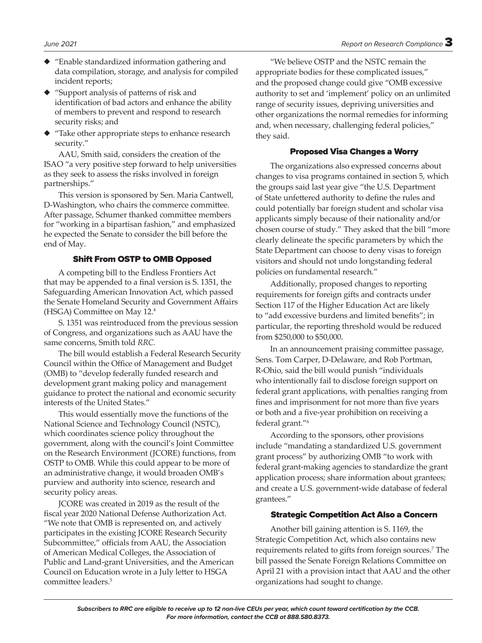- ◆ "Enable standardized information gathering and data compilation, storage, and analysis for compiled incident reports;
- ◆ "Support analysis of patterns of risk and identification of bad actors and enhance the ability of members to prevent and respond to research security risks; and
- ◆ "Take other appropriate steps to enhance research security."

AAU, Smith said, considers the creation of the ISAO "a very positive step forward to help universities as they seek to assess the risks involved in foreign partnerships."

This version is sponsored by Sen. Maria Cantwell, D-Washington, who chairs the commerce committee. After passage, Schumer thanked committee members for "working in a bipartisan fashion," and emphasized he expected the Senate to consider the bill before the end of May.

#### Shift From OSTP to OMB Opposed

A competing bill to the Endless Frontiers Act that may be appended to a final version is S. 1351, the Safeguarding American Innovation Act, which passed the Senate Homeland Security and Government Affairs (HSGA) Committee on May 12.4

S. 1351 was reintroduced from the previous session of Congress, and organizations such as AAU have the same concerns, Smith told *RRC.*

The bill would establish a Federal Research Security Council within the Office of Management and Budget (OMB) to "develop federally funded research and development grant making policy and management guidance to protect the national and economic security interests of the United States."

This would essentially move the functions of the National Science and Technology Council (NSTC), which coordinates science policy throughout the government, along with the council's Joint Committee on the Research Environment (JCORE) functions, from OSTP to OMB. While this could appear to be more of an administrative change, it would broaden OMB's purview and authority into science, research and security policy areas.

JCORE was created in 2019 as the result of the fiscal year 2020 National Defense Authorization Act. "We note that OMB is represented on, and actively participates in the existing JCORE Research Security Subcommittee," officials from AAU, the Association of American Medical Colleges, the Association of Public and Land-grant Universities, and the American Council on Education wrote in a July letter to HSGA committee leaders.5

"We believe OSTP and the NSTC remain the appropriate bodies for these complicated issues," and the proposed change could give "OMB excessive authority to set and 'implement' policy on an unlimited range of security issues, depriving universities and other organizations the normal remedies for informing and, when necessary, challenging federal policies," they said.

#### Proposed Visa Changes a Worry

The organizations also expressed concerns about changes to visa programs contained in section 5, which the groups said last year give "the U.S. Department of State unfettered authority to define the rules and could potentially bar foreign student and scholar visa applicants simply because of their nationality and/or chosen course of study." They asked that the bill "more clearly delineate the specific parameters by which the State Department can choose to deny visas to foreign visitors and should not undo longstanding federal policies on fundamental research."

Additionally, proposed changes to reporting requirements for foreign gifts and contracts under Section 117 of the Higher Education Act are likely to "add excessive burdens and limited benefits"; in particular, the reporting threshold would be reduced from \$250,000 to \$50,000.

In an announcement praising committee passage, Sens. Tom Carper, D-Delaware, and Rob Portman, R-Ohio, said the bill would punish "individuals who intentionally fail to disclose foreign support on federal grant applications, with penalties ranging from fines and imprisonment for not more than five years or both and a five-year prohibition on receiving a federal grant."<sup>6</sup>

According to the sponsors, other provisions include "mandating a standardized U.S. government grant process" by authorizing OMB "to work with federal grant-making agencies to standardize the grant application process; share information about grantees; and create a U.S. government-wide database of federal grantees."

#### Strategic Competition Act Also a Concern

Another bill gaining attention is S. 1169, the Strategic Competition Act, which also contains new requirements related to gifts from foreign sources.<sup>7</sup> The bill passed the Senate Foreign Relations Committee on April 21 with a provision intact that AAU and the other organizations had sought to change.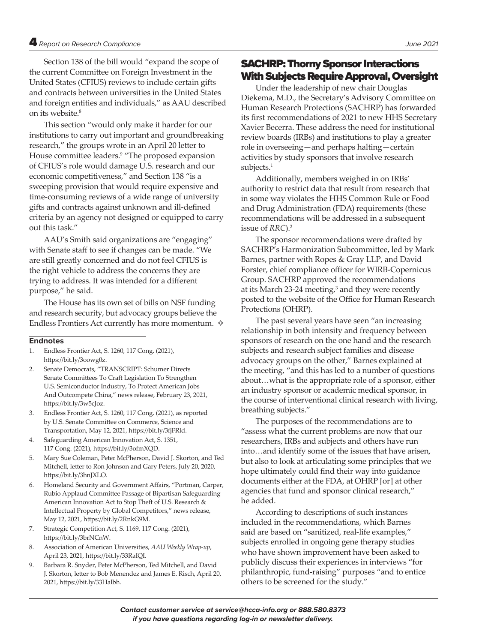Section 138 of the bill would "expand the scope of the current Committee on Foreign Investment in the United States (CFIUS) reviews to include certain gifts and contracts between universities in the United States and foreign entities and individuals," as AAU described on its website.<sup>8</sup>

This section "would only make it harder for our institutions to carry out important and groundbreaking research," the groups wrote in an April 20 letter to House committee leaders.<sup>9</sup> "The proposed expansion of CFIUS's role would damage U.S. research and our economic competitiveness," and Section 138 "is a sweeping provision that would require expensive and time-consuming reviews of a wide range of university gifts and contracts against unknown and ill-defined criteria by an agency not designed or equipped to carry out this task."

AAU's Smith said organizations are "engaging" with Senate staff to see if changes can be made. "We are still greatly concerned and do not feel CFIUS is the right vehicle to address the concerns they are trying to address. It was intended for a different purpose," he said.

The House has its own set of bills on NSF funding and research security, but advocacy groups believe the Endless Frontiers Act currently has more momentum.  $\diamond$ 

#### **Endnotes**

- 1. Endless Frontier Act, S. 1260, 117 Cong. (2021), https://bit.ly/3oowg0z.
- 2. Senate Democrats, "TRANSCRIPT: Schumer Directs Senate Committees To Craft Legislation To Strengthen U.S. Semiconductor Industry, To Protect American Jobs And Outcompete China," news release, February 23, 2021, https://bit.ly/3w5cJoz.
- 3. Endless Frontier Act, S. 1260, 117 Cong. (2021), as reported by U.S. Senate Committee on Commerce, Science and Transportation, May 12, 2021, https://bit.ly/3fjFRld.
- 4. Safeguarding American Innovation Act, S. 1351, 117 Cong. (2021), https://bit.ly/3ofmXQD.
- 5. Mary Sue Coleman, Peter McPherson, David J. Skorton, and Ted Mitchell, letter to Ron Johnson and Gary Peters, July 20, 2020, https://bit.ly/3hnJXLO.
- 6. Homeland Security and Government Affairs, "Portman, Carper, Rubio Applaud Committee Passage of Bipartisan Safeguarding American Innovation Act to Stop Theft of U.S. Research & Intellectual Property by Global Competitors," news release, May 12, 2021, https://bit.ly/2RnkG9M.
- 7. Strategic Competition Act, S. 1169, 117 Cong. (2021), https://bit.ly/3brNCnW.
- 8. Association of American Universities, *AAU Weekly Wrap-up*, April 23, 2021, https://bit.ly/33RaIQI.
- 9. Barbara R. Snyder, Peter McPherson, Ted Mitchell, and David J. Skorton, letter to Bob Menendez and James E. Risch, April 20, 2021, https://bit.ly/33Halbh.

# SACHRP: Thorny Sponsor Interactions With Subjects Require Approval, Oversight

Under the leadership of new chair Douglas Diekema, M.D., the Secretary's Advisory Committee on Human Research Protections (SACHRP) has forwarded its first recommendations of 2021 to new HHS Secretary Xavier Becerra. These address the need for institutional review boards (IRBs) and institutions to play a greater role in overseeing—and perhaps halting—certain activities by study sponsors that involve research subjects.<sup>1</sup>

Additionally, members weighed in on IRBs' authority to restrict data that result from research that in some way violates the HHS Common Rule or Food and Drug Administration (FDA) requirements (these recommendations will be addressed in a subsequent issue of *RRC*).2

The sponsor recommendations were drafted by SACHRP's Harmonization Subcommittee, led by Mark Barnes, partner with Ropes & Gray LLP, and David Forster, chief compliance officer for WIRB-Copernicus Group. SACHRP approved the recommendations at its March 23-24 meeting,<sup>3</sup> and they were recently posted to the website of the Office for Human Research Protections (OHRP).

The past several years have seen "an increasing relationship in both intensity and frequency between sponsors of research on the one hand and the research subjects and research subject families and disease advocacy groups on the other," Barnes explained at the meeting, "and this has led to a number of questions about…what is the appropriate role of a sponsor, either an industry sponsor or academic medical sponsor, in the course of interventional clinical research with living, breathing subjects."

The purposes of the recommendations are to "assess what the current problems are now that our researchers, IRBs and subjects and others have run into…and identify some of the issues that have arisen, but also to look at articulating some principles that we hope ultimately could find their way into guidance documents either at the FDA, at OHRP [or] at other agencies that fund and sponsor clinical research," he added.

According to descriptions of such instances included in the recommendations, which Barnes said are based on "sanitized, real-life examples," subjects enrolled in ongoing gene therapy studies who have shown improvement have been asked to publicly discuss their experiences in interviews "for philanthropic, fund-raising" purposes "and to entice others to be screened for the study."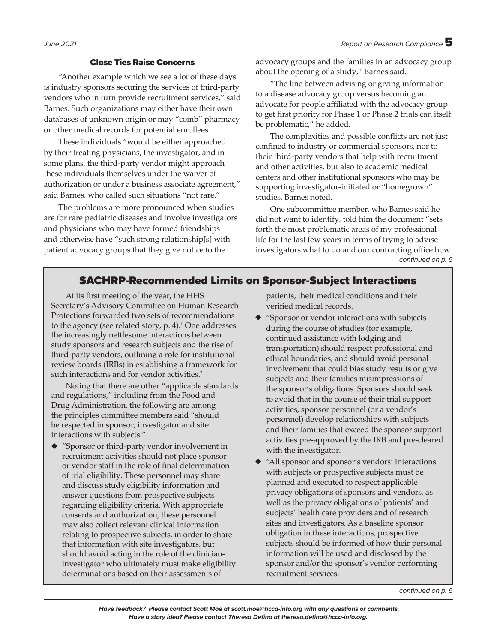#### Close Ties Raise Concerns

"Another example which we see a lot of these days is industry sponsors securing the services of third-party vendors who in turn provide recruitment services," said Barnes. Such organizations may either have their own databases of unknown origin or may "comb" pharmacy or other medical records for potential enrollees.

These individuals "would be either approached by their treating physicians, the investigator, and in some plans, the third-party vendor might approach these individuals themselves under the waiver of authorization or under a business associate agreement," said Barnes, who called such situations "not rare."

The problems are more pronounced when studies are for rare pediatric diseases and involve investigators and physicians who may have formed friendships and otherwise have "such strong relationship[s] with patient advocacy groups that they give notice to the

advocacy groups and the families in an advocacy group about the opening of a study," Barnes said.

"The line between advising or giving information to a disease advocacy group versus becoming an advocate for people affiliated with the advocacy group to get first priority for Phase 1 or Phase 2 trials can itself be problematic," he added.

The complexities and possible conflicts are not just confined to industry or commercial sponsors, nor to their third-party vendors that help with recruitment and other activities, but also to academic medical centers and other institutional sponsors who may be supporting investigator-initiated or "homegrown" studies, Barnes noted.

One subcommittee member, who Barnes said he did not want to identify, told him the document "sets forth the most problematic areas of my professional life for the last few years in terms of trying to advise investigators what to do and our contracting office how *continued on p. 6*

# SACHRP-Recommended Limits on Sponsor-Subject Interactions

At its first meeting of the year, the HHS Secretary's Advisory Committee on Human Research Protections forwarded two sets of recommendations to the agency (see related story,  $p. 4$ ).<sup>1</sup> One addresses the increasingly nettlesome interactions between study sponsors and research subjects and the rise of third-party vendors, outlining a role for institutional review boards (IRBs) in establishing a framework for such interactions and for vendor activities.<sup>2</sup>

Noting that there are other "applicable standards and regulations," including from the Food and Drug Administration, the following are among the principles committee members said "should be respected in sponsor, investigator and site interactions with subjects:"

◆ "Sponsor or third-party vendor involvement in recruitment activities should not place sponsor or vendor staff in the role of final determination of trial eligibility. These personnel may share and discuss study eligibility information and answer questions from prospective subjects regarding eligibility criteria. With appropriate consents and authorization, these personnel may also collect relevant clinical information relating to prospective subjects, in order to share that information with site investigators, but should avoid acting in the role of the clinicianinvestigator who ultimately must make eligibility determinations based on their assessments of

patients, their medical conditions and their verified medical records.

- ◆ "Sponsor or vendor interactions with subjects during the course of studies (for example, continued assistance with lodging and transportation) should respect professional and ethical boundaries, and should avoid personal involvement that could bias study results or give subjects and their families misimpressions of the sponsor's obligations. Sponsors should seek to avoid that in the course of their trial support activities, sponsor personnel (or a vendor's personnel) develop relationships with subjects and their families that exceed the sponsor support activities pre-approved by the IRB and pre-cleared with the investigator.
- "All sponsor and sponsor's vendors' interactions with subjects or prospective subjects must be planned and executed to respect applicable privacy obligations of sponsors and vendors, as well as the privacy obligations of patients' and subjects' health care providers and of research sites and investigators. As a baseline sponsor obligation in these interactions, prospective subjects should be informed of how their personal information will be used and disclosed by the sponsor and/or the sponsor's vendor performing recruitment services.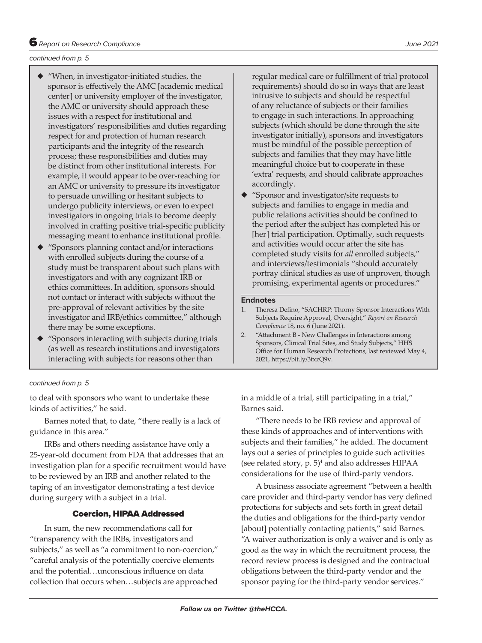#### *continued from p. 5*

- ◆ "When, in investigator-initiated studies, the sponsor is effectively the AMC [academic medical center] or university employer of the investigator, the AMC or university should approach these issues with a respect for institutional and investigators' responsibilities and duties regarding respect for and protection of human research participants and the integrity of the research process; these responsibilities and duties may be distinct from other institutional interests. For example, it would appear to be over-reaching for an AMC or university to pressure its investigator to persuade unwilling or hesitant subjects to undergo publicity interviews, or even to expect investigators in ongoing trials to become deeply involved in crafting positive trial-specific publicity messaging meant to enhance institutional profile.
- ◆ "Sponsors planning contact and/or interactions with enrolled subjects during the course of a study must be transparent about such plans with investigators and with any cognizant IRB or ethics committees. In addition, sponsors should not contact or interact with subjects without the pre-approval of relevant activities by the site investigator and IRB/ethics committee," although there may be some exceptions.
- ◆ "Sponsors interacting with subjects during trials (as well as research institutions and investigators interacting with subjects for reasons other than

#### *continued from p. 5*

to deal with sponsors who want to undertake these kinds of activities," he said.

Barnes noted that, to date, "there really is a lack of guidance in this area."

IRBs and others needing assistance have only a 25-year-old document from FDA that addresses that an investigation plan for a specific recruitment would have to be reviewed by an IRB and another related to the taping of an investigator demonstrating a test device during surgery with a subject in a trial.

#### Coercion, HIPAA Addressed

In sum, the new recommendations call for "transparency with the IRBs, investigators and subjects," as well as "a commitment to non-coercion," "careful analysis of the potentially coercive elements and the potential…unconscious influence on data collection that occurs when…subjects are approached regular medical care or fulfillment of trial protocol requirements) should do so in ways that are least intrusive to subjects and should be respectful of any reluctance of subjects or their families to engage in such interactions. In approaching subjects (which should be done through the site investigator initially), sponsors and investigators must be mindful of the possible perception of subjects and families that they may have little meaningful choice but to cooperate in these 'extra' requests, and should calibrate approaches accordingly.

◆ "Sponsor and investigator/site requests to subjects and families to engage in media and public relations activities should be confined to the period after the subject has completed his or [her] trial participation. Optimally, such requests and activities would occur after the site has completed study visits for *all* enrolled subjects," and interviews/testimonials "should accurately portray clinical studies as use of unproven, though promising, experimental agents or procedures."

#### **Endnotes**

in a middle of a trial, still participating in a trial," Barnes said.

"There needs to be IRB review and approval of these kinds of approaches and of interventions with subjects and their families," he added. The document lays out a series of principles to guide such activities (see related story, p. 5)4 and also addresses HIPAA considerations for the use of third-party vendors.

A business associate agreement "between a health care provider and third-party vendor has very defined protections for subjects and sets forth in great detail the duties and obligations for the third-party vendor [about] potentially contacting patients," said Barnes. "A waiver authorization is only a waiver and is only as good as the way in which the recruitment process, the record review process is designed and the contractual obligations between the third-party vendor and the sponsor paying for the third-party vendor services."

<sup>1.</sup> Theresa Defino, "SACHRP: Thorny Sponsor Interactions With Subjects Require Approval, Oversight," *Report on Research Compliance* 18, no. 6 (June 2021).

<sup>2.</sup> "Attachment B - New Challenges in Interactions among Sponsors, Clinical Trial Sites, and Study Subjects," HHS Office for Human Research Protections, last reviewed May 4, 2021, https://bit.ly/3txzQ9v.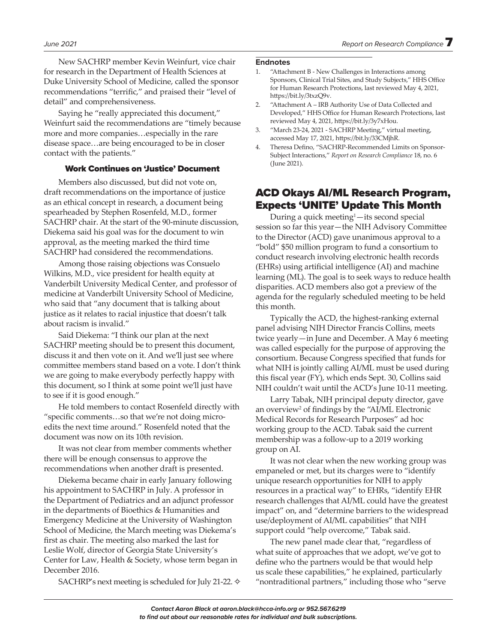New SACHRP member Kevin Weinfurt, vice chair for research in the Department of Health Sciences at Duke University School of Medicine, called the sponsor recommendations "terrific," and praised their "level of detail" and comprehensiveness.

Saying he "really appreciated this document," Weinfurt said the recommendations are "timely because more and more companies…especially in the rare disease space…are being encouraged to be in closer contact with the patients."

#### Work Continues on 'Justice' Document

Members also discussed, but did not vote on, draft recommendations on the importance of justice as an ethical concept in research, a document being spearheaded by Stephen Rosenfeld, M.D., former SACHRP chair. At the start of the 90-minute discussion, Diekema said his goal was for the document to win approval, as the meeting marked the third time SACHRP had considered the recommendations.

Among those raising objections was Consuelo Wilkins, M.D., vice president for health equity at Vanderbilt University Medical Center, and professor of medicine at Vanderbilt University School of Medicine, who said that "any document that is talking about justice as it relates to racial injustice that doesn't talk about racism is invalid."

Said Diekema: "I think our plan at the next SACHRP meeting should be to present this document, discuss it and then vote on it. And we'll just see where committee members stand based on a vote. I don't think we are going to make everybody perfectly happy with this document, so I think at some point we'll just have to see if it is good enough."

He told members to contact Rosenfeld directly with "specific comments…so that we're not doing microedits the next time around." Rosenfeld noted that the document was now on its 10th revision.

It was not clear from member comments whether there will be enough consensus to approve the recommendations when another draft is presented.

Diekema became chair in early January following his appointment to SACHRP in July. A professor in the Department of Pediatrics and an adjunct professor in the departments of Bioethics & Humanities and Emergency Medicine at the University of Washington School of Medicine, the March meeting was Diekema's first as chair. The meeting also marked the last for Leslie Wolf, director of Georgia State University's Center for Law, Health & Society, whose term began in December 2016.

SACHRP's next meeting is scheduled for July 21-22.  $\diamond$ 

#### **Endnotes**

- 1. "Attachment B New Challenges in Interactions among Sponsors, Clinical Trial Sites, and Study Subjects," HHS Office for Human Research Protections, last reviewed May 4, 2021, https://bit.ly/3txzQ9v.
- 2. "Attachment A IRB Authority Use of Data Collected and Developed," HHS Office for Human Research Protections, last reviewed May 4, 2021, https://bit.ly/3y7xHou.
- 3. "March 23-24, 2021 SACHRP Meeting," virtual meeting, accessed May 17, 2021, https://bit.ly/33CMjhR.
- 4. Theresa Defino, "SACHRP-Recommended Limits on Sponsor-Subject Interactions," *Report on Research Compliance* 18, no. 6 (June 2021).

# ACD Okays AI/ML Research Program, Expects 'UNITE' Update This Month

During a quick meeting<sup>1</sup>—its second special session so far this year—the NIH Advisory Committee to the Director (ACD) gave unanimous approval to a "bold" \$50 million program to fund a consortium to conduct research involving electronic health records (EHRs) using artificial intelligence (AI) and machine learning (ML). The goal is to seek ways to reduce health disparities. ACD members also got a preview of the agenda for the regularly scheduled meeting to be held this month.

Typically the ACD, the highest-ranking external panel advising NIH Director Francis Collins, meets twice yearly—in June and December. A May 6 meeting was called especially for the purpose of approving the consortium. Because Congress specified that funds for what NIH is jointly calling AI/ML must be used during this fiscal year (FY), which ends Sept. 30, Collins said NIH couldn't wait until the ACD's June 10-11 meeting.

Larry Tabak, NIH principal deputy director, gave an overview<sup>2</sup> of findings by the "AI/ML Electronic Medical Records for Research Purposes" ad hoc working group to the ACD. Tabak said the current membership was a follow-up to a 2019 working group on AI.

It was not clear when the new working group was empaneled or met, but its charges were to "identify unique research opportunities for NIH to apply resources in a practical way" to EHRs, "identify EHR research challenges that AI/ML could have the greatest impact" on, and "determine barriers to the widespread use/deployment of AI/ML capabilities" that NIH support could "help overcome," Tabak said.

The new panel made clear that, "regardless of what suite of approaches that we adopt, we've got to define who the partners would be that would help us scale these capabilities," he explained, particularly "nontraditional partners," including those who "serve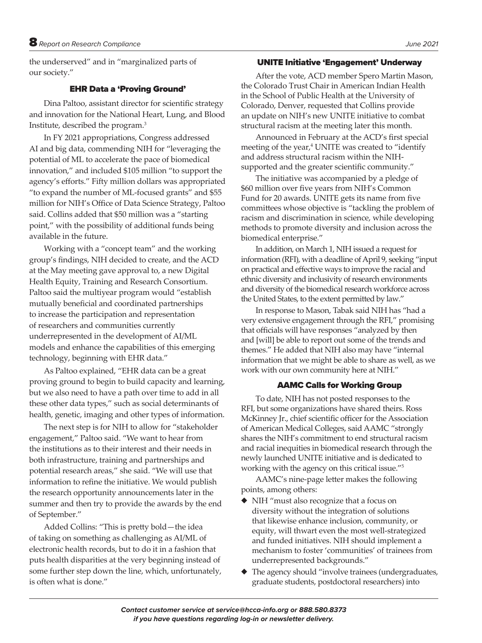the underserved" and in "marginalized parts of our society."

### EHR Data a 'Proving Ground'

Dina Paltoo, assistant director for scientific strategy and innovation for the National Heart, Lung, and Blood Institute, described the program.<sup>3</sup>

In FY 2021 appropriations, Congress addressed AI and big data, commending NIH for "leveraging the potential of ML to accelerate the pace of biomedical innovation," and included \$105 million "to support the agency's efforts." Fifty million dollars was appropriated "to expand the number of ML-focused grants" and \$55 million for NIH's Office of Data Science Strategy, Paltoo said. Collins added that \$50 million was a "starting point," with the possibility of additional funds being available in the future.

Working with a "concept team" and the working group's findings, NIH decided to create, and the ACD at the May meeting gave approval to, a new Digital Health Equity, Training and Research Consortium. Paltoo said the multiyear program would "establish mutually beneficial and coordinated partnerships to increase the participation and representation of researchers and communities currently underrepresented in the development of AI/ML models and enhance the capabilities of this emerging technology, beginning with EHR data."

As Paltoo explained, "EHR data can be a great proving ground to begin to build capacity and learning, but we also need to have a path over time to add in all these other data types," such as social determinants of health, genetic, imaging and other types of information.

The next step is for NIH to allow for "stakeholder engagement," Paltoo said. "We want to hear from the institutions as to their interest and their needs in both infrastructure, training and partnerships and potential research areas," she said. "We will use that information to refine the initiative. We would publish the research opportunity announcements later in the summer and then try to provide the awards by the end of September."

Added Collins: "This is pretty bold—the idea of taking on something as challenging as AI/ML of electronic health records, but to do it in a fashion that puts health disparities at the very beginning instead of some further step down the line, which, unfortunately, is often what is done."

#### UNITE Initiative 'Engagement' Underway

After the vote, ACD member Spero Martin Mason, the Colorado Trust Chair in American Indian Health in the School of Public Health at the University of Colorado, Denver, requested that Collins provide an update on NIH's new UNITE initiative to combat structural racism at the meeting later this month.

Announced in February at the ACD's first special meeting of the year,<sup>4</sup> UNITE was created to "identify" and address structural racism within the NIHsupported and the greater scientific community."

The initiative was accompanied by a pledge of \$60 million over five years from NIH's Common Fund for 20 awards. UNITE gets its name from five committees whose objective is "tackling the problem of racism and discrimination in science, while developing methods to promote diversity and inclusion across the biomedical enterprise."

In addition, on March 1, NIH issued a request for information (RFI), with a deadline of April 9, seeking "input on practical and effective ways to improve the racial and ethnic diversity and inclusivity of research environments and diversity of the biomedical research workforce across the United States, to the extent permitted by law."

In response to Mason, Tabak said NIH has "had a very extensive engagement through the RFI," promising that officials will have responses "analyzed by then and [will] be able to report out some of the trends and themes." He added that NIH also may have "internal information that we might be able to share as well, as we work with our own community here at NIH."

#### AAMC Calls for Working Group

To date, NIH has not posted responses to the RFI, but some organizations have shared theirs. Ross McKinney Jr., chief scientific officer for the Association of American Medical Colleges, said AAMC "strongly shares the NIH's commitment to end structural racism and racial inequities in biomedical research through the newly launched UNITE initiative and is dedicated to working with the agency on this critical issue."5

AAMC's nine-page letter makes the following points, among others:

- ◆ NIH "must also recognize that a focus on diversity without the integration of solutions that likewise enhance inclusion, community, or equity, will thwart even the most well-strategized and funded initiatives. NIH should implement a mechanism to foster 'communities' of trainees from underrepresented backgrounds."
- The agency should "involve trainees (undergraduates, graduate students, postdoctoral researchers) into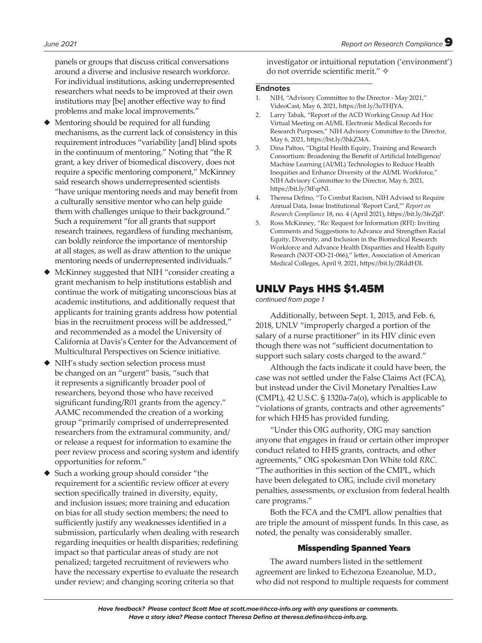panels or groups that discuss critical conversations around a diverse and inclusive research workforce. For individual institutions, asking underrepresented researchers what needs to be improved at their own institutions may [be] another effective way to find problems and make local improvements."

- ◆ Mentoring should be required for all funding mechanisms, as the current lack of consistency in this requirement introduces "variability [and] blind spots in the continuum of mentoring." Noting that "the R grant, a key driver of biomedical discovery, does not require a specific mentoring component," McKinney said research shows underrepresented scientists "have unique mentoring needs and may benefit from a culturally sensitive mentor who can help guide them with challenges unique to their background." Such a requirement "for all grants that support research trainees, regardless of funding mechanism, can boldly reinforce the importance of mentorship at all stages, as well as draw attention to the unique mentoring needs of underrepresented individuals."
- McKinney suggested that NIH "consider creating a grant mechanism to help institutions establish and continue the work of mitigating unconscious bias at academic institutions, and additionally request that applicants for training grants address how potential bias in the recruitment process will be addressed," and recommended as a model the University of California at Davis's Center for the Advancement of Multicultural Perspectives on Science initiative.
- ◆ NIH's study section selection process must be changed on an "urgent" basis, "such that it represents a significantly broader pool of researchers, beyond those who have received significant funding/R01 grants from the agency." AAMC recommended the creation of a working group "primarily comprised of underrepresented researchers from the extramural community, and/ or release a request for information to examine the peer review process and scoring system and identify opportunities for reform."
- Such a working group should consider "the requirement for a scientific review officer at every section specifically trained in diversity, equity, and inclusion issues; more training and education on bias for all study section members; the need to sufficiently justify any weaknesses identified in a submission, particularly when dealing with research regarding inequities or health disparities; redefining impact so that particular areas of study are not penalized; targeted recruitment of reviewers who have the necessary expertise to evaluate the research under review; and changing scoring criteria so that

investigator or intuitional reputation ('environment') do not override scientific merit." ✧

#### **Endnotes**

- 1. NIH, "Advisory Committee to the Director May 2021," VideoCast, May 6, 2021, https://bit.ly/3uTHJYA.
- 2. Larry Tabak, "Report of the ACD Working Group Ad Hoc Virtual Meeting on AI/ML Electronic Medical Records for Research Purposes," NIH Advisory Committee to the Director, May 6, 2021, https://bit.ly/3hkZ34A.
- 3. Dina Paltoo, "Digital Health Equity, Training and Research Consortium: Broadening the Benefit of Artificial Intelligence/ Machine Learning (AI/ML) Technologies to Reduce Health Inequities and Enhance Diversity of the AI/ML Workforce," NIH Advisory Committee to the Director, May 6, 2021, https://bit.ly/3tFqrNl.
- 4. Theresa Defino, "To Combat Racism, NIH Advised to Require Annual Data, Issue Institutional 'Report Card,'" *Report on Research Compliance* 18, no. 4 (April 2021), https://bit.ly/3feZjiP.
- 5. Ross McKinney, "Re: Request for Information (RFI): Inviting Comments and Suggestions to Advance and Strengthen Racial Equity, Diversity, and Inclusion in the Biomedical Research Workforce and Advance Health Disparities and Health Equity Research (NOT-OD-21-066)," letter, Association of American Medical Colleges, April 9, 2021, https://bit.ly/2RddH3l.

# UNLV Pays HHS \$1.45M

*continued from page 1*

Additionally, between Sept. 1, 2015, and Feb. 6, 2018, UNLV "improperly charged a portion of the salary of a nurse practitioner" in its HIV clinic even though there was not "sufficient documentation to support such salary costs charged to the award."

Although the facts indicate it could have been, the case was not settled under the False Claims Act (FCA), but instead under the Civil Monetary Penalties Law (CMPL), 42 U.S.C. § 1320a-7a(o), which is applicable to "violations of grants, contracts and other agreements" for which HHS has provided funding.

"Under this OIG authority, OIG may sanction anyone that engages in fraud or certain other improper conduct related to HHS grants, contracts, and other agreements," OIG spokesman Don White told *RRC.*  "The authorities in this section of the CMPL, which have been delegated to OIG, include civil monetary penalties, assessments, or exclusion from federal health care programs."

Both the FCA and the CMPL allow penalties that are triple the amount of misspent funds. In this case, as noted, the penalty was considerably smaller.

#### Misspending Spanned Years

The award numbers listed in the settlement agreement are linked to Echezona Ezeanolue, M.D., who did not respond to multiple requests for comment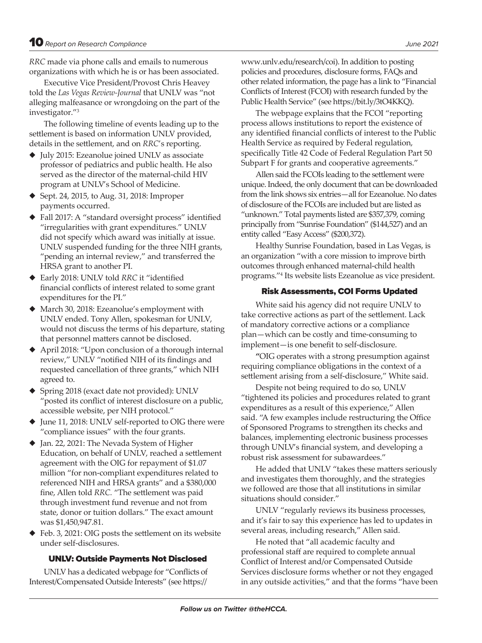*RRC* made via phone calls and emails to numerous organizations with which he is or has been associated.

Executive Vice President/Provost Chris Heavey told the *Las Vegas Review-Journal* that UNLV was "not alleging malfeasance or wrongdoing on the part of the investigator."3

The following timeline of events leading up to the settlement is based on information UNLV provided, details in the settlement, and on *RRC*'s reporting.

- ◆ July 2015: Ezeanolue joined UNLV as associate professor of pediatrics and public health. He also served as the director of the maternal-child HIV program at UNLV's School of Medicine.
- ◆ Sept. 24, 2015, to Aug. 31, 2018: Improper payments occurred.
- ◆ Fall 2017: A "standard oversight process" identified "irregularities with grant expenditures." UNLV did not specify which award was initially at issue. UNLV suspended funding for the three NIH grants, "pending an internal review," and transferred the HRSA grant to another PI.
- ◆ Early 2018: UNLV told *RRC* it "identified financial conflicts of interest related to some grant expenditures for the PI."
- ◆ March 30, 2018: Ezeanolue's employment with UNLV ended. Tony Allen, spokesman for UNLV, would not discuss the terms of his departure, stating that personnel matters cannot be disclosed.
- ◆ April 2018: "Upon conclusion of a thorough internal review," UNLV "notified NIH of its findings and requested cancellation of three grants," which NIH agreed to.
- ◆ Spring 2018 (exact date not provided): UNLV "posted its conflict of interest disclosure on a public, accessible website, per NIH protocol."
- ◆ June 11, 2018: UNLV self-reported to OIG there were "compliance issues" with the four grants.
- ◆ Jan. 22, 2021: The Nevada System of Higher Education, on behalf of UNLV, reached a settlement agreement with the OIG for repayment of \$1.07 million "for non-compliant expenditures related to referenced NIH and HRSA grants" and a \$380,000 fine, Allen told *RRC.* "The settlement was paid through investment fund revenue and not from state, donor or tuition dollars." The exact amount was \$1,450,947.81.
- ◆ Feb. 3, 2021: OIG posts the settlement on its website under self-disclosures.

#### UNLV: Outside Payments Not Disclosed

UNLV has a dedicated webpage for "Conflicts of Interest/Compensated Outside Interests" (see https://

www.unlv.edu/research/coi). In addition to posting policies and procedures, disclosure forms, FAQs and other related information, the page has a link to "Financial Conflicts of Interest (FCOI) with research funded by the Public Health Service" (see https://bit.ly/3tO4KKQ).

The webpage explains that the FCOI "reporting process allows institutions to report the existence of any identified financial conflicts of interest to the Public Health Service as required by Federal regulation, specifically Title 42 Code of Federal Regulation Part 50 Subpart F for grants and cooperative agreements."

Allen said the FCOIs leading to the settlement were unique. Indeed, the only document that can be downloaded from the link shows six entries—all for Ezeanolue. No dates of disclosure of the FCOIs are included but are listed as "unknown." Total payments listed are \$357,379, coming principally from "Sunrise Foundation" (\$144,527) and an entity called "Easy Access" (\$200,372).

Healthy Sunrise Foundation, based in Las Vegas, is an organization "with a core mission to improve birth outcomes through enhanced maternal-child health programs."4 Its website lists Ezeanolue as vice president.

#### Risk Assessments, COI Forms Updated

White said his agency did not require UNLV to take corrective actions as part of the settlement. Lack of mandatory corrective actions or a compliance plan—which can be costly and time-consuming to implement—is one benefit to self-disclosure.

**"**OIG operates with a strong presumption against requiring compliance obligations in the context of a settlement arising from a self-disclosure," White said.

Despite not being required to do so, UNLV "tightened its policies and procedures related to grant expenditures as a result of this experience," Allen said. "A few examples include restructuring the Office of Sponsored Programs to strengthen its checks and balances, implementing electronic business processes through UNLV's financial system, and developing a robust risk assessment for subawardees."

He added that UNLV "takes these matters seriously and investigates them thoroughly, and the strategies we followed are those that all institutions in similar situations should consider."

UNLV "regularly reviews its business processes, and it's fair to say this experience has led to updates in several areas, including research," Allen said.

He noted that "all academic faculty and professional staff are required to complete annual Conflict of Interest and/or Compensated Outside Services disclosure forms whether or not they engaged in any outside activities," and that the forms "have been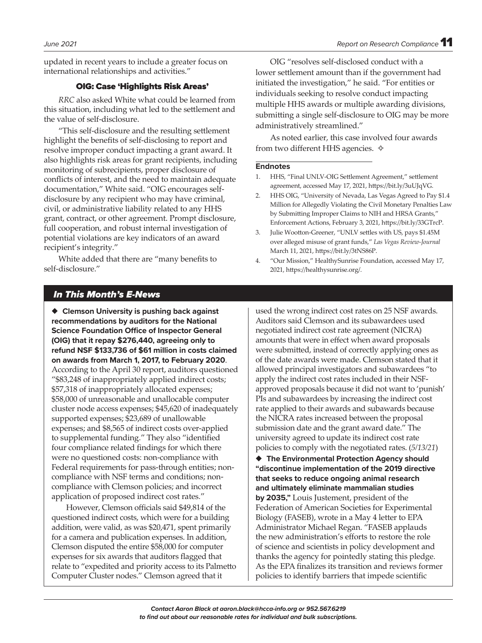updated in recent years to include a greater focus on international relationships and activities."

#### OIG: Case 'Highlights Risk Areas'

*RRC* also asked White what could be learned from this situation, including what led to the settlement and the value of self-disclosure.

"This self-disclosure and the resulting settlement highlight the benefits of self-disclosing to report and resolve improper conduct impacting a grant award. It also highlights risk areas for grant recipients, including monitoring of subrecipients, proper disclosure of conflicts of interest, and the need to maintain adequate documentation," White said. "OIG encourages selfdisclosure by any recipient who may have criminal, civil, or administrative liability related to any HHS grant, contract, or other agreement. Prompt disclosure, full cooperation, and robust internal investigation of potential violations are key indicators of an award recipient's integrity."

White added that there are "many benefits to self-disclosure."

OIG "resolves self-disclosed conduct with a lower settlement amount than if the government had initiated the investigation," he said. "For entities or individuals seeking to resolve conduct impacting multiple HHS awards or multiple awarding divisions, submitting a single self-disclosure to OIG may be more administratively streamlined."

As noted earlier, this case involved four awards from two different HHS agencies.  $\diamond$ 

#### **Endnotes**

- 1. HHS, "Final UNLV-OIG Settlement Agreement," settlement agreement, accessed May 17, 2021, https://bit.ly/3uUJqVG.
- 2. HHS OIG, "University of Nevada, Las Vegas Agreed to Pay \$1.4 Million for Allegedly Violating the Civil Monetary Penalties Law by Submitting Improper Claims to NIH and HRSA Grants," Enforcement Actions, February 3, 2021, https://bit.ly/33GTrcP.
- 3. Julie Wootton-Greener, "UNLV settles with US, pays \$1.45M over alleged misuse of grant funds," *Las Vegas Review-Journal*  March 11, 2021, https://bit.ly/3tNS86P.
- 4. "Our Mission," HealthySunrise Foundation, accessed May 17, 2021, https://healthysunrise.org/.

# *In This Month's E-News*

◆ **Clemson University is pushing back against recommendations by auditors for the National Science Foundation Office of Inspector General (OIG) that it repay \$276,440, agreeing only to refund NSF \$133,736 of \$61 million in costs claimed on awards from March 1, 2017, to February 2020**. According to the April 30 report, auditors questioned "\$83,248 of inappropriately applied indirect costs; \$57,318 of inappropriately allocated expenses; \$58,000 of unreasonable and unallocable computer cluster node access expenses; \$45,620 of inadequately supported expenses; \$23,689 of unallowable expenses; and \$8,565 of indirect costs over-applied to supplemental funding." They also "identified four compliance related findings for which there were no questioned costs: non-compliance with Federal requirements for pass-through entities; noncompliance with NSF terms and conditions; noncompliance with Clemson policies; and incorrect application of proposed indirect cost rates."

However, Clemson officials said \$49,814 of the questioned indirect costs, which were for a building addition, were valid, as was \$20,471, spent primarily for a camera and publication expenses. In addition, Clemson disputed the entire \$58,000 for computer expenses for six awards that auditors flagged that relate to "expedited and priority access to its Palmetto Computer Cluster nodes." Clemson agreed that it

used the wrong indirect cost rates on 25 NSF awards. Auditors said Clemson and its subawardees used negotiated indirect cost rate agreement (NICRA) amounts that were in effect when award proposals were submitted, instead of correctly applying ones as of the date awards were made. Clemson stated that it allowed principal investigators and subawardees "to apply the indirect cost rates included in their NSFapproved proposals because it did not want to 'punish' PIs and subawardees by increasing the indirect cost rate applied to their awards and subawards because the NICRA rates increased between the proposal submission date and the grant award date." The university agreed to update its indirect cost rate policies to comply with the negotiated rates. (*5/13/21*)

◆ The Environmental Protection Agency should **"discontinue implementation of the 2019 directive that seeks to reduce ongoing animal research and ultimately eliminate mammalian studies by 2035,"** Louis Justement, president of the Federation of American Societies for Experimental Biology (FASEB), wrote in a May 4 letter to EPA Administrator Michael Regan. "FASEB applauds the new administration's efforts to restore the role of science and scientists in policy development and thanks the agency for pointedly stating this pledge. As the EPA finalizes its transition and reviews former policies to identify barriers that impede scientific